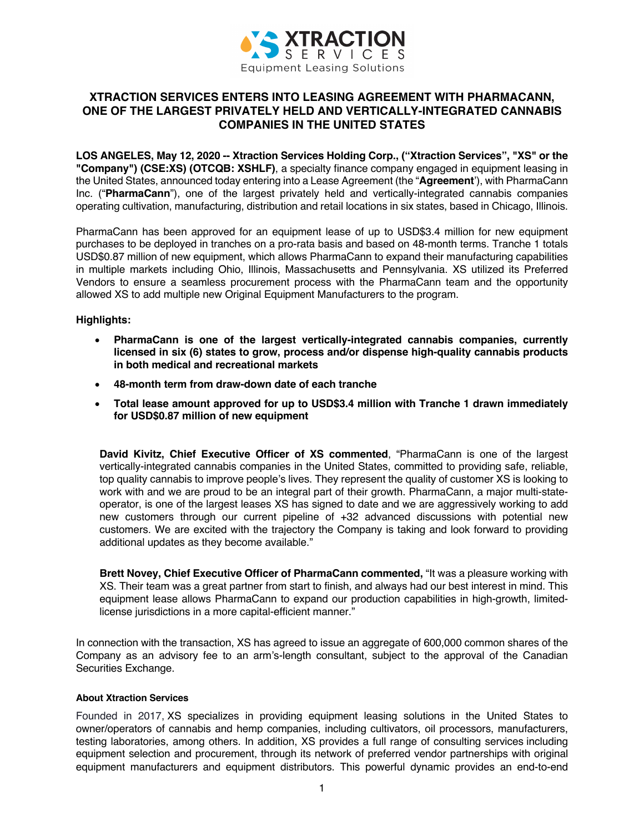

## **XTRACTION SERVICES ENTERS INTO LEASING AGREEMENT WITH PHARMACANN, ONE OF THE LARGEST PRIVATELY HELD AND VERTICALLY-INTEGRATED CANNABIS COMPANIES IN THE UNITED STATES**

**LOS ANGELES, May 12, 2020 -- Xtraction Services Holding Corp., ("Xtraction Services", "XS" or the "Company") (CSE:XS) (OTCQB: XSHLF)**, a specialty finance company engaged in equipment leasing in the United States, announced today entering into a Lease Agreement (the "**Agreement**'), with PharmaCann Inc. ("**PharmaCann**"), one of the largest privately held and vertically-integrated cannabis companies operating cultivation, manufacturing, distribution and retail locations in six states, based in Chicago, Illinois.

PharmaCann has been approved for an equipment lease of up to USD\$3.4 million for new equipment purchases to be deployed in tranches on a pro-rata basis and based on 48-month terms. Tranche 1 totals USD\$0.87 million of new equipment, which allows PharmaCann to expand their manufacturing capabilities in multiple markets including Ohio, Illinois, Massachusetts and Pennsylvania. XS utilized its Preferred Vendors to ensure a seamless procurement process with the PharmaCann team and the opportunity allowed XS to add multiple new Original Equipment Manufacturers to the program.

## **Highlights:**

- **PharmaCann is one of the largest vertically-integrated cannabis companies, currently licensed in six (6) states to grow, process and/or dispense high-quality cannabis products in both medical and recreational markets**
- **48-month term from draw-down date of each tranche**
- **Total lease amount approved for up to USD\$3.4 million with Tranche 1 drawn immediately for USD\$0.87 million of new equipment**

**David Kivitz, Chief Executive Officer of XS commented**, "PharmaCann is one of the largest vertically-integrated cannabis companies in the United States, committed to providing safe, reliable, top quality cannabis to improve people's lives. They represent the quality of customer XS is looking to work with and we are proud to be an integral part of their growth. PharmaCann, a major multi-stateoperator, is one of the largest leases XS has signed to date and we are aggressively working to add new customers through our current pipeline of +32 advanced discussions with potential new customers. We are excited with the trajectory the Company is taking and look forward to providing additional updates as they become available."

**Brett Novey, Chief Executive Officer of PharmaCann commented,** "It was a pleasure working with XS. Their team was a great partner from start to finish, and always had our best interest in mind. This equipment lease allows PharmaCann to expand our production capabilities in high-growth, limitedlicense jurisdictions in a more capital-efficient manner."

In connection with the transaction, XS has agreed to issue an aggregate of 600,000 common shares of the Company as an advisory fee to an arm's-length consultant, subject to the approval of the Canadian Securities Exchange.

## **About Xtraction Services**

Founded in 2017, XS specializes in providing equipment leasing solutions in the United States to owner/operators of cannabis and hemp companies, including cultivators, oil processors, manufacturers, testing laboratories, among others. In addition, XS provides a full range of consulting services including equipment selection and procurement, through its network of preferred vendor partnerships with original equipment manufacturers and equipment distributors. This powerful dynamic provides an end-to-end